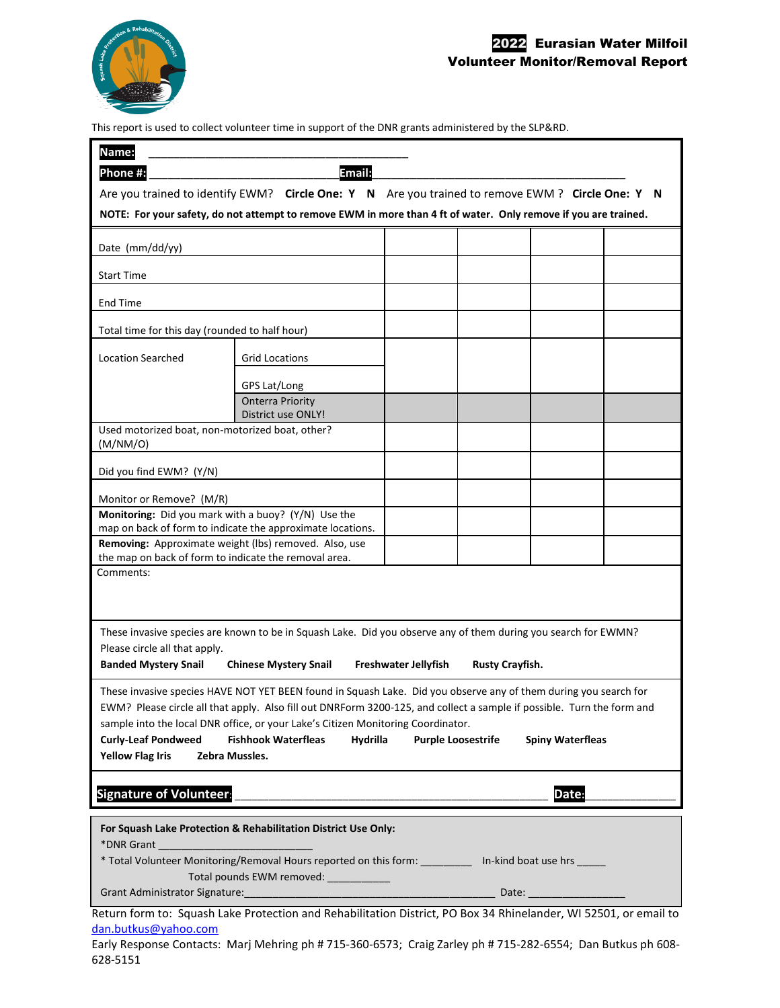

## 2022 Eurasian Water Milfoil Volunteer Monitor/Removal Report

This report is used to collect volunteer time in support of the DNR grants administered by the SLP&RD.

| Name:<br>Email:<br>Phone #:<br>Are you trained to identify EWM? Circle One: Y N Are you trained to remove EWM? Circle One: Y N<br>NOTE: For your safety, do not attempt to remove EWM in more than 4 ft of water. Only remove if you are trained.                                                                                                                                                                                                                                                           |                                               |  |  |  |  |
|-------------------------------------------------------------------------------------------------------------------------------------------------------------------------------------------------------------------------------------------------------------------------------------------------------------------------------------------------------------------------------------------------------------------------------------------------------------------------------------------------------------|-----------------------------------------------|--|--|--|--|
| Date (mm/dd/yy)                                                                                                                                                                                                                                                                                                                                                                                                                                                                                             |                                               |  |  |  |  |
| <b>Start Time</b>                                                                                                                                                                                                                                                                                                                                                                                                                                                                                           |                                               |  |  |  |  |
| <b>End Time</b>                                                                                                                                                                                                                                                                                                                                                                                                                                                                                             |                                               |  |  |  |  |
| Total time for this day (rounded to half hour)                                                                                                                                                                                                                                                                                                                                                                                                                                                              |                                               |  |  |  |  |
| <b>Location Searched</b>                                                                                                                                                                                                                                                                                                                                                                                                                                                                                    | <b>Grid Locations</b>                         |  |  |  |  |
|                                                                                                                                                                                                                                                                                                                                                                                                                                                                                                             | GPS Lat/Long                                  |  |  |  |  |
|                                                                                                                                                                                                                                                                                                                                                                                                                                                                                                             | <b>Onterra Priority</b><br>District use ONLY! |  |  |  |  |
| Used motorized boat, non-motorized boat, other?<br>(M/NM/O)                                                                                                                                                                                                                                                                                                                                                                                                                                                 |                                               |  |  |  |  |
| Did you find EWM? (Y/N)                                                                                                                                                                                                                                                                                                                                                                                                                                                                                     |                                               |  |  |  |  |
| Monitor or Remove? (M/R)                                                                                                                                                                                                                                                                                                                                                                                                                                                                                    |                                               |  |  |  |  |
| Monitoring: Did you mark with a buoy? (Y/N) Use the<br>map on back of form to indicate the approximate locations.                                                                                                                                                                                                                                                                                                                                                                                           |                                               |  |  |  |  |
| Removing: Approximate weight (lbs) removed. Also, use<br>the map on back of form to indicate the removal area.                                                                                                                                                                                                                                                                                                                                                                                              |                                               |  |  |  |  |
| Comments:                                                                                                                                                                                                                                                                                                                                                                                                                                                                                                   |                                               |  |  |  |  |
| These invasive species are known to be in Squash Lake. Did you observe any of them during you search for EWMN?<br>Please circle all that apply.<br><b>Banded Mystery Snail</b><br><b>Chinese Mystery Snail</b><br>Freshwater Jellyfish<br><b>Rusty Crayfish.</b>                                                                                                                                                                                                                                            |                                               |  |  |  |  |
| These invasive species HAVE NOT YET BEEN found in Squash Lake. Did you observe any of them during you search for<br>EWM? Please circle all that apply. Also fill out DNRForm 3200-125, and collect a sample if possible. Turn the form and<br>sample into the local DNR office, or your Lake's Citizen Monitoring Coordinator.<br><b>Fishhook Waterfleas</b><br><b>Curly-Leaf Pondweed</b><br>Hydrilla<br><b>Purple Loosestrife</b><br><b>Spiny Waterfleas</b><br><b>Yellow Flag Iris</b><br>Zebra Mussles. |                                               |  |  |  |  |
| <b>Signature of Volunteer:</b><br>Date:                                                                                                                                                                                                                                                                                                                                                                                                                                                                     |                                               |  |  |  |  |
| For Squash Lake Protection & Rehabilitation District Use Only:<br>*DNR Grant and the contract of the contract of the contract of the contract of the contract of the contract of<br>* Total Volunteer Monitoring/Removal Hours reported on this form: __________ In-kind boat use hrs _____<br>Total pounds EWM removed: ___________<br>.<br>akt also Pentantian and Pakakilitation Pictoid, PO Pau 24 Philadelp                                                                                            |                                               |  |  |  |  |

Return form to: Squash Lake Protection and Rehabilitation District, PO Box 34 Rhinelander, WI 52501, or email to dan.butkus@yahoo.com

Early Response Contacts: Marj Mehring ph # 715-360-6573; Craig Zarley ph # 715-282-6554; Dan Butkus ph 608- 628-5151